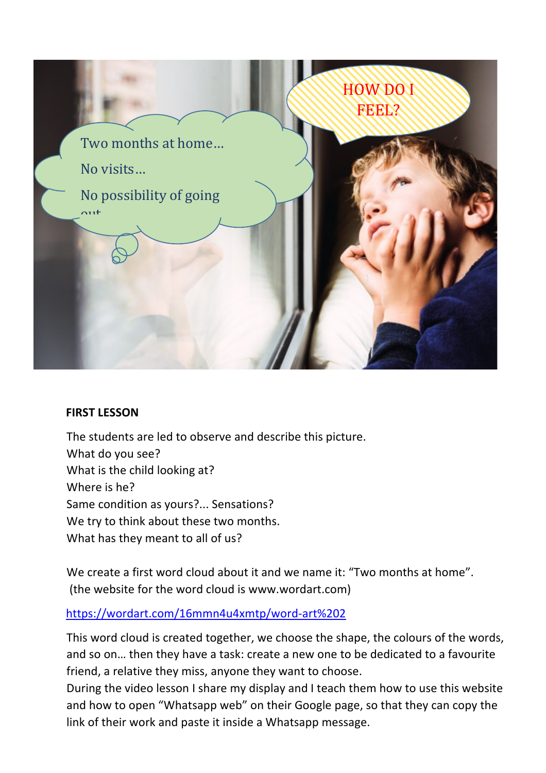

#### **FIRST LESSON**

The students are led to observe and describe this picture. What do you see? What is the child looking at? Where is he? Same condition as yours?... Sensations? We try to think about these two months. What has they meant to all of us?

We create a first word cloud about it and we name it: "Two months at home". (the website for the word cloud is www.wordart.com)

#### https://wordart.com/16mmn4u4xmtp/word-art%202

This word cloud is created together, we choose the shape, the colours of the words, and so on… then they have a task: create a new one to be dedicated to a favourite friend, a relative they miss, anyone they want to choose.

During the video lesson I share my display and I teach them how to use this website and how to open "Whatsapp web" on their Google page, so that they can copy the link of their work and paste it inside a Whatsapp message.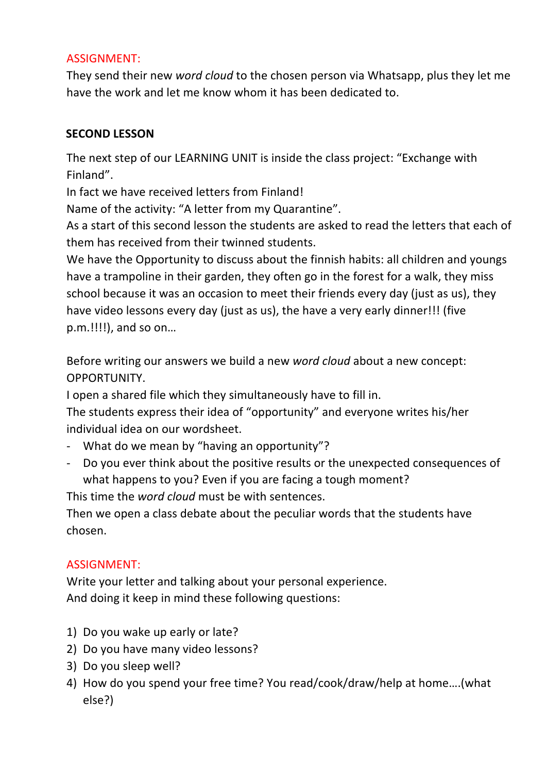### ASSIGNMENT:

They send their new *word cloud* to the chosen person via Whatsapp, plus they let me have the work and let me know whom it has been dedicated to.

### **SECOND LESSON**

The next step of our LEARNING UNIT is inside the class project: "Exchange with Finland".

In fact we have received letters from Finland!

Name of the activity: "A letter from my Quarantine".

As a start of this second lesson the students are asked to read the letters that each of them has received from their twinned students.

We have the Opportunity to discuss about the finnish habits: all children and youngs have a trampoline in their garden, they often go in the forest for a walk, they miss school because it was an occasion to meet their friends every day (just as us), they have video lessons every day (just as us), the have a very early dinner!!! (five p.m.!!!!), and so on…

Before writing our answers we build a new *word cloud* about a new concept: OPPORTUNITY.

I open a shared file which they simultaneously have to fill in.

The students express their idea of "opportunity" and everyone writes his/her individual idea on our wordsheet.

- What do we mean by "having an opportunity"?
- Do you ever think about the positive results or the unexpected consequences of what happens to you? Even if you are facing a tough moment?

This time the *word cloud* must be with sentences.

Then we open a class debate about the peculiar words that the students have chosen.

### ASSIGNMENT:

Write your letter and talking about your personal experience. And doing it keep in mind these following questions:

- 1) Do you wake up early or late?
- 2) Do you have many video lessons?
- 3) Do you sleep well?
- 4) How do you spend your free time? You read/cook/draw/help at home….(what else?)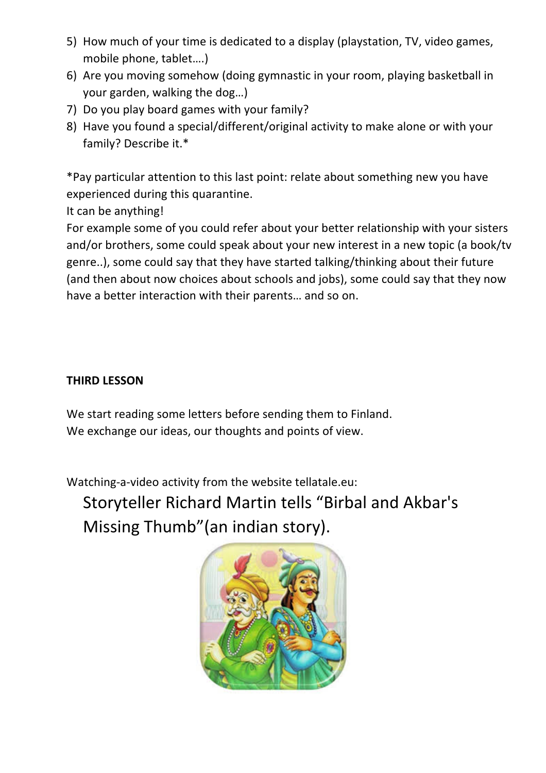- 5) How much of your time is dedicated to a display (playstation, TV, video games, mobile phone, tablet….)
- 6) Are you moving somehow (doing gymnastic in your room, playing basketball in your garden, walking the dog…)
- 7) Do you play board games with your family?
- 8) Have you found a special/different/original activity to make alone or with your family? Describe it.\*

\*Pay particular attention to this last point: relate about something new you have experienced during this quarantine.

It can be anything!

For example some of you could refer about your better relationship with your sisters and/or brothers, some could speak about your new interest in a new topic (a book/tv genre..), some could say that they have started talking/thinking about their future (and then about now choices about schools and jobs), some could say that they now have a better interaction with their parents… and so on.

## **THIRD LESSON**

We start reading some letters before sending them to Finland. We exchange our ideas, our thoughts and points of view.

Watching-a-video activity from the website tellatale.eu:

Storyteller Richard Martin tells "Birbal and Akbar's Missing Thumb"(an indian story).

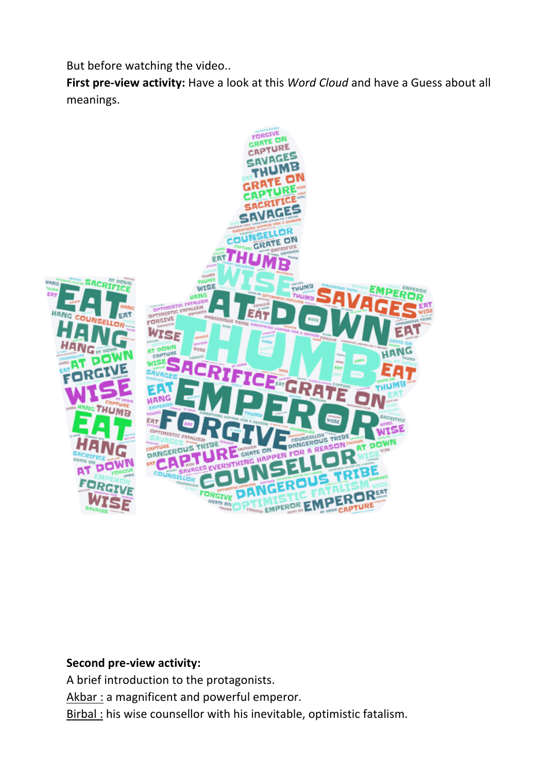But before watching the video..

**First pre-view activity:** Have a look at this *Word Cloud* and have a Guess about all meanings.



#### **Second pre-view activity:**

A brief introduction to the protagonists. Akbar : a magnificent and powerful emperor. Birbal : his wise counsellor with his inevitable, optimistic fatalism.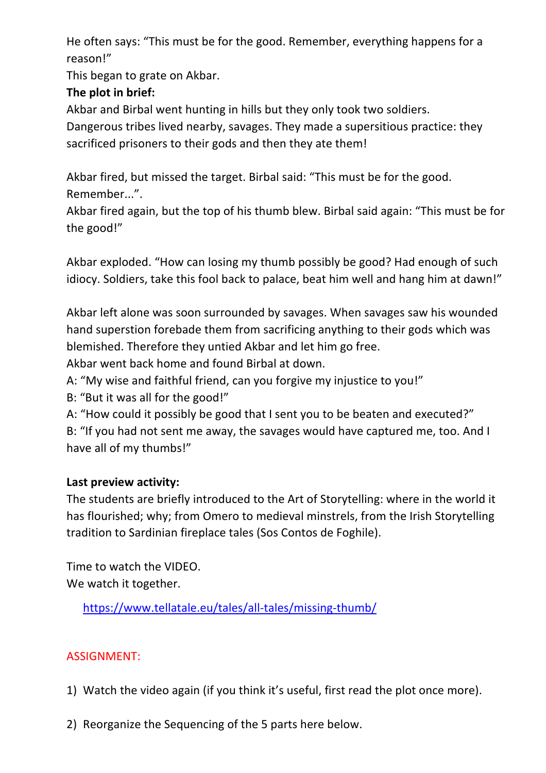He often says: "This must be for the good. Remember, everything happens for a reason!"

This began to grate on Akbar.

# **The plot in brief:**

Akbar and Birbal went hunting in hills but they only took two soldiers.

Dangerous tribes lived nearby, savages. They made a supersitious practice: they sacrificed prisoners to their gods and then they ate them!

Akbar fired, but missed the target. Birbal said: "This must be for the good. Remember...".

Akbar fired again, but the top of his thumb blew. Birbal said again: "This must be for the good!"

Akbar exploded. "How can losing my thumb possibly be good? Had enough of such idiocy. Soldiers, take this fool back to palace, beat him well and hang him at dawn!"

Akbar left alone was soon surrounded by savages. When savages saw his wounded hand superstion forebade them from sacrificing anything to their gods which was blemished. Therefore they untied Akbar and let him go free.

Akbar went back home and found Birbal at down.

- A: "My wise and faithful friend, can you forgive my injustice to you!"
- B: "But it was all for the good!"
- A: "How could it possibly be good that I sent you to be beaten and executed?"

B: "If you had not sent me away, the savages would have captured me, too. And I have all of my thumbs!"

### **Last preview activity:**

The students are briefly introduced to the Art of Storytelling: where in the world it has flourished; why; from Omero to medieval minstrels, from the Irish Storytelling tradition to Sardinian fireplace tales (Sos Contos de Foghile).

Time to watch the VIDEO. We watch it together.

https://www.tellatale.eu/tales/all-tales/missing-thumb/

### ASSIGNMENT:

- 1) Watch the video again (if you think it's useful, first read the plot once more).
- 2) Reorganize the Sequencing of the 5 parts here below.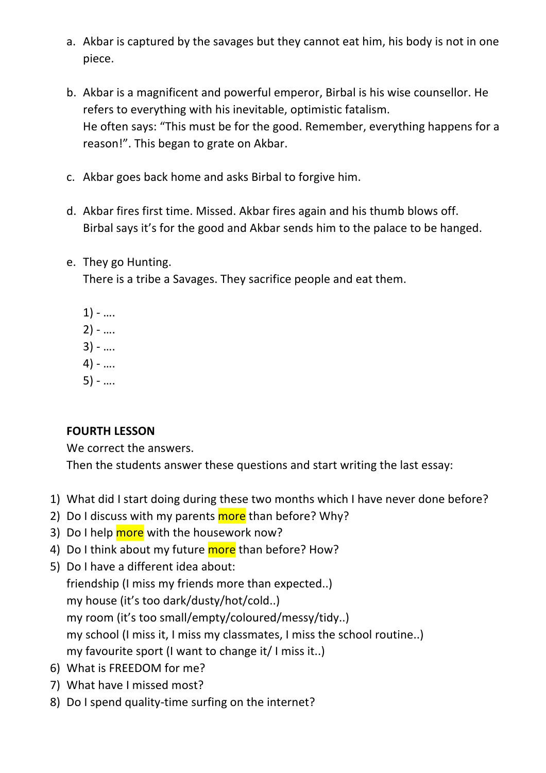- a. Akbar is captured by the savages but they cannot eat him, his body is not in one piece.
- b. Akbar is a magnificent and powerful emperor, Birbal is his wise counsellor. He refers to everything with his inevitable, optimistic fatalism. He often says: "This must be for the good. Remember, everything happens for a reason!". This began to grate on Akbar.
- c. Akbar goes back home and asks Birbal to forgive him.
- d. Akbar fires first time. Missed. Akbar fires again and his thumb blows off. Birbal says it's for the good and Akbar sends him to the palace to be hanged.
- e. They go Hunting.

There is a tribe a Savages. They sacrifice people and eat them.

- $1) ...$  $2) - ...$  $3) - ...$ 4) - ….
- 5) ….

### **FOURTH LESSON**

We correct the answers.

Then the students answer these questions and start writing the last essay:

- 1) What did I start doing during these two months which I have never done before?
- 2) Do I discuss with my parents more than before? Why?
- 3) Do I help more with the housework now?
- 4) Do I think about my future more than before? How?
- 5) Do I have a different idea about: friendship (I miss my friends more than expected..) my house (it's too dark/dusty/hot/cold..) my room (it's too small/empty/coloured/messy/tidy..) my school (I miss it, I miss my classmates, I miss the school routine..) my favourite sport (I want to change it/ I miss it..)
- 6) What is FREEDOM for me?
- 7) What have I missed most?
- 8) Do I spend quality-time surfing on the internet?